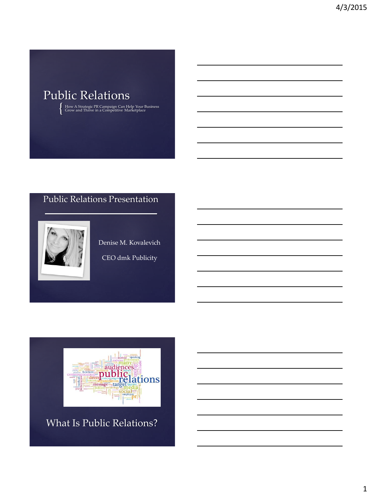# Public Relations

{ How A Strategic PR Campaign Can Help Your Business Grow and Thrive in a Competitive Marketplace

## Public Relations Presentation



Denise M. Kovalevich

CEO dmk Publicity



What Is Public Relations?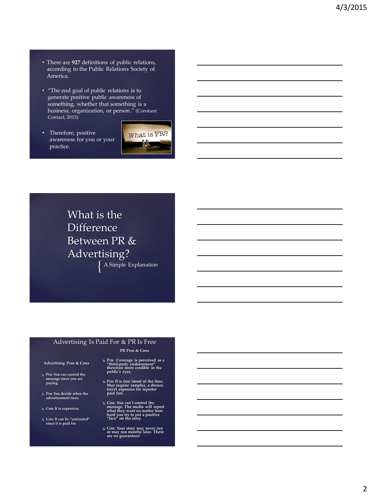- There are **927** definitions of public relations, according to the Public Relations Society of America.
- "The end goal of public relations is to generate positive public awareness of something, whether that something is a business, organization, or person." (Constant Contact, 2015)
- Therefore, positive awareness for you or your practice.



{ A Simple Explanation What is the Difference Between PR & Advertising?

### Advertising Is Paid For & PR Is Free

**Advertising Pros & Cons**

- **Pro: You can control the message since you are paying.**
- **Pro: You decide when the advertisement runs.**
- **Con: It is expensive.**
- **Con: It can be "untrusted" since it is paid for.**
- **Pro: Coverage is perceived as a "third-party endorsement" therefore more credible in the public's eyes.**

**PR Pros & Cons**

- **Pro: It is free (most of the time. May require samples, a dinner, travel expenses for reporter paid for).**
- **Con: You can't control the message. The media will report what they want no matter how hard you try to put a positive "face" on the story.**
- **Con: Your story may never run or may run months later. There are no guarantees!**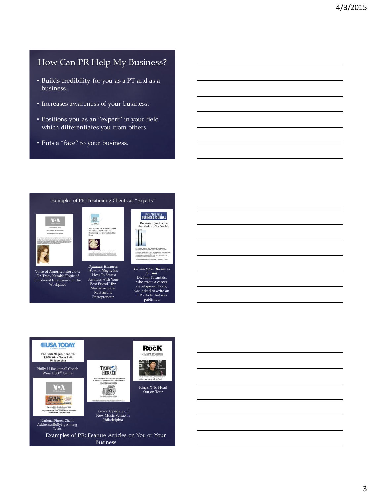## How Can PR Help My Business?

- Builds credibility for you as a PT and as a business.
- Increases awareness of your business.
- Positions you as an "expert" in your field which differentiates you from others.
- Puts a "face" to your business.



Voice of America Interview: Dr. Tracy Kemble/Topic of Emotional Intelligence in the Workplace

Best Friend" By: Marianne Gere, Restaurant Entrepreneur

*Dynamic Business Woman Magazine*: "How To Start a Business With Your



*Philadelphia Business Journal*: Dr. Tom Tavantzis, who wrote a career development book, was asked to write an HR article that was published



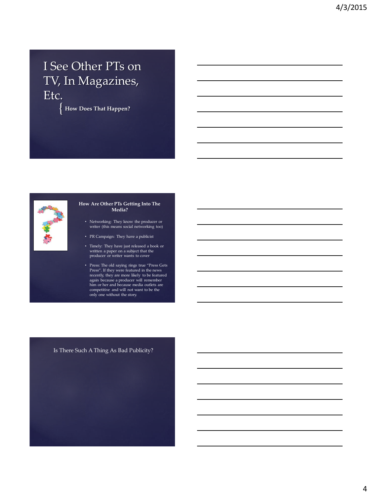# I See Other PTs on TV, In Magazines, Etc.

 $\{$ **How Does That Happen?** 



#### **How Are Other PTs Getting Into The Media?**

- Networking: They know the producer or writer (this means social networking too)
- PR Campaign: They have a publicist
- Timely: They have just released a book or written a paper on a subject that the producer or writer wants to cover
- Press: The old saying rings true "Press Gets Press". If they were featured in the news recently, they are more likely to be featured again because a producer will remember him or her and because media outlets are competitive and will not want to be the only one without the story.

### Is There Such A Thing As Bad Publicity?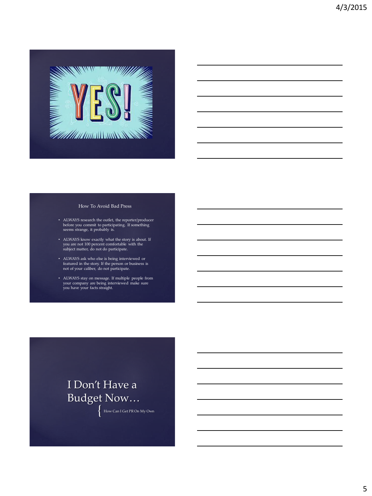

#### How To Avoid Bad Press

- ALWAYS research the outlet, the reporter/producer before you commit to participating. If something seems strange, it probably is.
- ALWAYS know exactly what the story is about. If you are not 100 percent comfortable with the subject matter, do not do participate.
- ALWAYS ask who else is being interviewed or featured in the story. If the person or business is not of your caliber, do not participate.
- ALWAYS stay on message. If multiple people from your company are being interviewed make sure you have your facts straight.

# I Don't Have a Budget Now…

{ How Can I Get PR On My Own